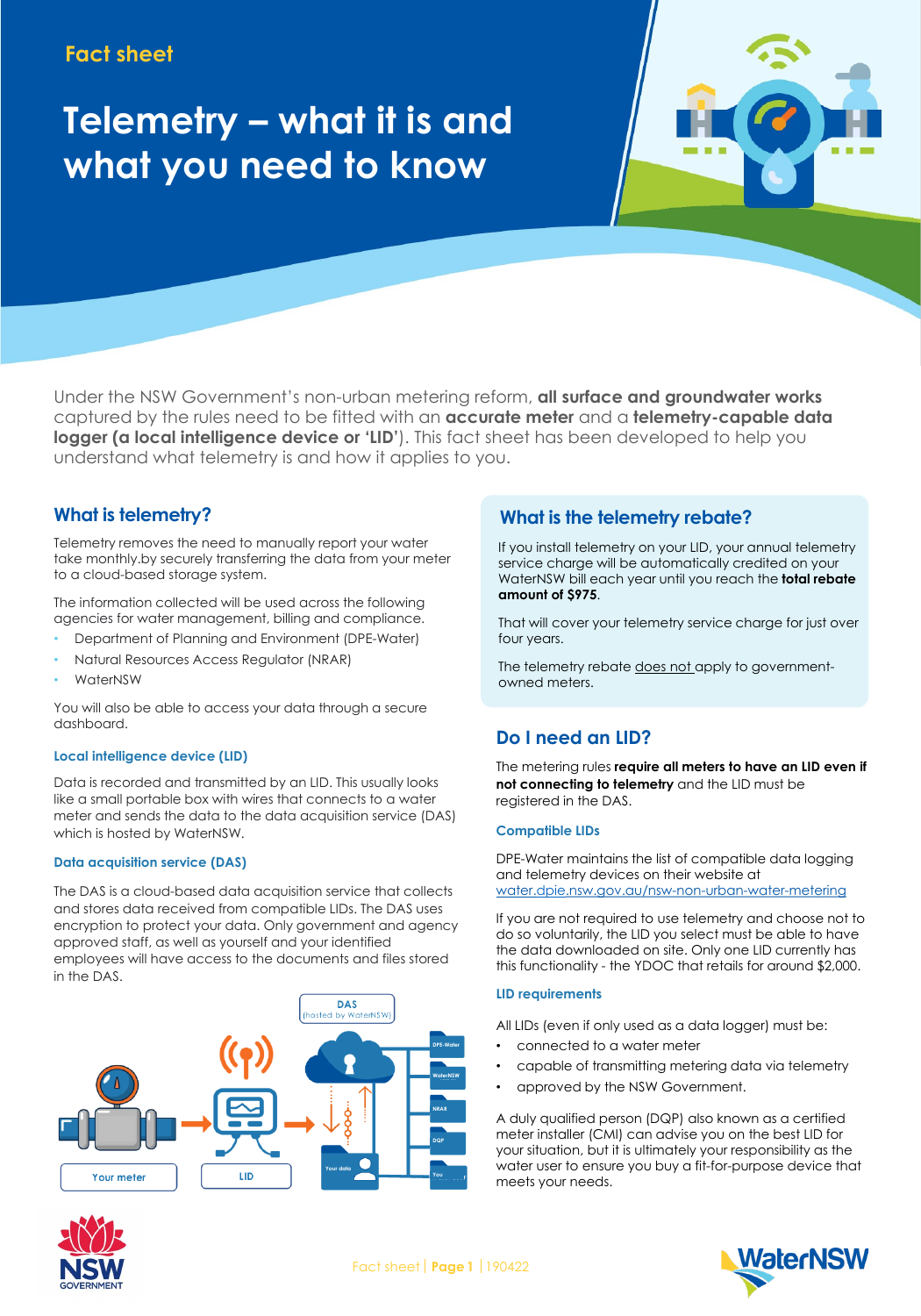# **Fact sheet**

# **Telemetry – what it is and what you need to know**

Under the NSW Government's non-urban metering reform, **all surface and groundwater works**  captured by the rules need to be fitted with an **accurate meter** and a **telemetry-capable data logger (a local intelligence device or 'LID')**. This fact sheet has been developed to help you understand what telemetry is and how it applies to you.

## **What is telemetry?**

Telemetry removes the need to manually report your water take monthly.by securely transferring the data from your meter to a cloud-based storage system.

The information collected will be used across the following agencies for water management, billing and compliance.

- Department of Planning and Environment (DPE-Water)
- Natural Resources Access Regulator (NRAR)
- WaterNSW

You will also be able to access your data through a secure dashboard.

### **Local intelligence device (LID)**

Data is recorded and transmitted by an LID. This usually looks like a small portable box with wires that connects to a water meter and sends the data to the data acquisition service (DAS) which is hosted by WaterNSW.

### **Data acquisition service (DAS)**

The DAS is a cloud-based data acquisition service that collects and stores data received from compatible LIDs. The DAS uses encryption to protect your data. Only government and agency approved staff, as well as yourself and your identified employees will have access to the documents and files stored in the DAS.





**What is the telemetry rebate?**

If you install telemetry on your LID, your annual telemetry service charge will be automatically credited on your WaterNSW bill each year until you reach the **total rebate amount of \$975**.

That will cover your telemetry service charge for just over four years.

The telemetry rebate does not apply to governmentowned meters.

# **Do I need an LID?**

The metering rules **require all meters to have an LID even if not connecting to telemetry** and the LID must be registered in the DAS.

#### **Compatible LIDs**

DPE-Water maintains the list of compatible data logging and telemetry devices on their website at water.dpie.nsw.gov.au/nsw-non-urban-water-metering

If you are not required to use telemetry and choose not to do so voluntarily, the LID you select must be able to have the data downloaded on site. Only one LID currently has this functionality - the YDOC that retails for around \$2,000.

### **LID requirements**

All LIDs (even if only used as a data logger) must be:

- connected to a water meter
- capable of transmitting metering data via telemetry
- approved by the NSW Government.

A duly qualified person (DQP) also known as a certified meter installer (CMI) can advise you on the best LID for your situation, but it is ultimately your responsibility as the water user to ensure you buy a fit-for-purpose device that meets your needs.